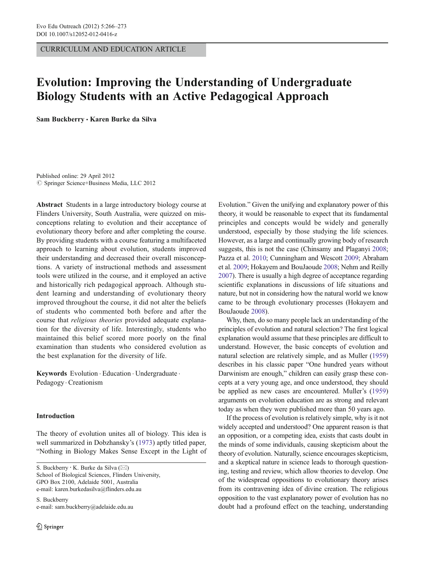CURRICULUM AND EDUCATION ARTICLE

# Evolution: Improving the Understanding of Undergraduate Biology Students with an Active Pedagogical Approach

Sam Buckberry · Karen Burke da Silva

Published online: 29 April 2012  $©$  Springer Science+Business Media, LLC 2012

Abstract Students in a large introductory biology course at Flinders University, South Australia, were quizzed on misconceptions relating to evolution and their acceptance of evolutionary theory before and after completing the course. By providing students with a course featuring a multifaceted approach to learning about evolution, students improved their understanding and decreased their overall misconceptions. A variety of instructional methods and assessment tools were utilized in the course, and it employed an active and historically rich pedagogical approach. Although student learning and understanding of evolutionary theory improved throughout the course, it did not alter the beliefs of students who commented both before and after the course that religious theories provided adequate explanation for the diversity of life. Interestingly, students who maintained this belief scored more poorly on the final examination than students who considered evolution as the best explanation for the diversity of life.

Keywords Evolution . Education . Undergraduate . Pedagogy . Creationism

#### Introduction

The theory of evolution unites all of biology. This idea is well summarized in Dobzhansky's ([1973\)](#page-6-0) aptly titled paper, "Nothing in Biology Makes Sense Except in the Light of

S. Buckberry  $\cdot$  K. Burke da Silva ( $\boxtimes$ ) School of Biological Sciences, Flinders University, GPO Box 2100, Adelaide 5001, Australia e-mail: karen.burkedasilva@flinders.edu.au

S. Buckberry e-mail: sam.buckberry@adelaide.edu.au

Evolution." Given the unifying and explanatory power of this theory, it would be reasonable to expect that its fundamental principles and concepts would be widely and generally understood, especially by those studying the life sciences. However, as a large and continually growing body of research suggests, this is not the case (Chinsamy and Plaganyi [2008;](#page-6-0) Pazza et al. [2010](#page-7-0); Cunningham and Wescott [2009](#page-6-0); Abraham et al. [2009;](#page-6-0) Hokayem and BouJaoude [2008](#page-6-0); Nehm and Reilly [2007\)](#page-7-0). There is usually a high degree of acceptance regarding scientific explanations in discussions of life situations and nature, but not in considering how the natural world we know came to be through evolutionary processes (Hokayem and BouJaoude [2008\)](#page-6-0).

Why, then, do so many people lack an understanding of the principles of evolution and natural selection? The first logical explanation would assume that these principles are difficult to understand. However, the basic concepts of evolution and natural selection are relatively simple, and as Muller [\(1959](#page-7-0)) describes in his classic paper "One hundred years without Darwinism are enough," children can easily grasp these concepts at a very young age, and once understood, they should be applied as new cases are encountered. Muller's [\(1959](#page-7-0)) arguments on evolution education are as strong and relevant today as when they were published more than 50 years ago.

If the process of evolution is relatively simple, why is it not widely accepted and understood? One apparent reason is that an opposition, or a competing idea, exists that casts doubt in the minds of some individuals, causing skepticism about the theory of evolution. Naturally, science encourages skepticism, and a skeptical nature in science leads to thorough questioning, testing and review, which allow theories to develop. One of the widespread oppositions to evolutionary theory arises from its contravening idea of divine creation. The religious opposition to the vast explanatory power of evolution has no doubt had a profound effect on the teaching, understanding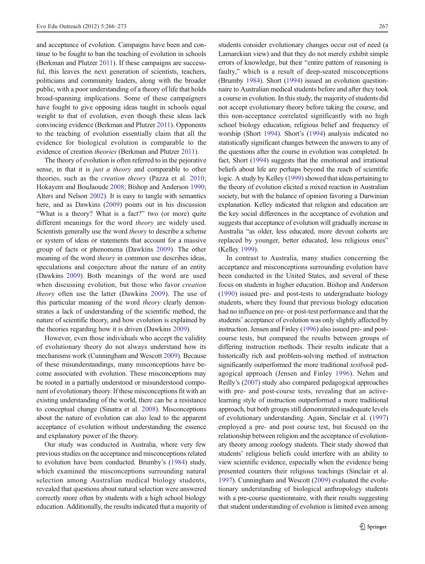and acceptance of evolution. Campaigns have been and continue to be fought to ban the teaching of evolution in schools (Berkman and Plutzer [2011\)](#page-6-0). If these campaigns are successful, this leaves the next generation of scientists, teachers, politicians and community leaders, along with the broader public, with a poor understanding of a theory of life that holds broad-spanning implications. Some of these campaigners have fought to give opposing ideas taught in schools equal weight to that of evolution, even though these ideas lack convincing evidence (Berkman and Plutzer [2011](#page-6-0)). Opponents to the teaching of evolution essentially claim that all the evidence for biological evolution is comparable to the evidence of creation theories (Berkman and Plutzer [2011](#page-6-0)).

The theory of evolution is often referred to in the pejorative sense, in that it is *just a theory* and comparable to other theories, such as the creation theory (Pazza et al. [2010](#page-7-0); Hokayem and BouJaoude [2008](#page-6-0); Bishop and Anderson [1990](#page-6-0); Alters and Nelson [2002](#page-6-0)). It is easy to tangle with semantics here, and as Dawkins [\(2009\)](#page-6-0) points out in his discussion "What is a theory? What is a fact?" two (or more) quite different meanings for the word *theory* are widely used. Scientists generally use the word *theory* to describe a scheme or system of ideas or statements that account for a massive group of facts or phenomena (Dawkins [2009](#page-6-0)). The other meaning of the word *theory* in common use describes ideas, speculations and conjecture about the nature of an entity (Dawkins [2009\)](#page-6-0). Both meanings of the word are used when discussing evolution, but those who favor *creation* theory often use the latter (Dawkins [2009\)](#page-6-0). The use of this particular meaning of the word theory clearly demonstrates a lack of understanding of the scientific method, the nature of scientific theory, and how evolution is explained by the theories regarding how it is driven (Dawkins [2009](#page-6-0)).

However, even those individuals who accept the validity of evolutionary theory do not always understand how its mechanisms work (Cunningham and Wescott [2009\)](#page-6-0). Because of these misunderstandings, many misconceptions have become associated with evolution. These misconceptions may be rooted in a partially understood or misunderstood component of evolutionary theory. If these misconceptions fit with an existing understanding of the world, there can be a resistance to conceptual change (Sinatra et al. [2008](#page-7-0)). Misconceptions about the nature of evolution can also lead to the apparent acceptance of evolution without understanding the essence and explanatory power of the theory.

Our study was conducted in Australia, where very few previous studies on the acceptance and misconceptions related to evolution have been conducted. Brumby's ([1984](#page-6-0)) study, which examined the misconceptions surrounding natural selection among Australian medical biology students, revealed that questions about natural selection were answered correctly more often by students with a high school biology education. Additionally, the results indicated that a majority of students consider evolutionary changes occur out of need (a Lamarckian view) and that they do not merely exhibit simple errors of knowledge, but their "entire pattern of reasoning is faulty," which is a result of deep-seated misconceptions (Brumby [1984](#page-6-0)). Short [\(1994\)](#page-7-0) issued an evolution questionnaire to Australian medical students before and after they took a course in evolution. In this study, the majority of students did not accept evolutionary theory before taking the course, and this non-acceptance correlated significantly with no high school biology education, religious belief and frequency of worship (Short [1994](#page-7-0)). Short's [\(1994\)](#page-7-0) analysis indicated no statistically significant changes between the answers to any of the questions after the course in evolution was completed. In fact, Short ([1994](#page-7-0)) suggests that the emotional and irrational beliefs about life are perhaps beyond the reach of scientific logic. A study by Kelley [\(1999](#page-6-0)) showed that ideas pertaining to the theory of evolution elicited a mixed reaction in Australian society, but with the balance of opinion favoring a Darwinian explanation. Kelley indicated that religion and education are the key social differences in the acceptance of evolution and suggests that acceptance of evolution will gradually increase in Australia "as older, less educated, more devout cohorts are replaced by younger, better educated, less religious ones" (Kelley [1999\)](#page-6-0).

In contrast to Australia, many studies concerning the acceptance and misconceptions surrounding evolution have been conducted in the United States, and several of these focus on students in higher education. Bishop and Anderson [\(1990](#page-6-0)) issued pre- and post-tests to undergraduate biology students, where they found that previous biology education had no influence on pre- or post-test performance and that the students' acceptance of evolution was only slightly affected by instruction. Jensen and Finley [\(1996\)](#page-6-0) also issued pre- and postcourse tests, but compared the results between groups of differing instruction methods. Their results indicate that a historically rich and problem-solving method of instruction significantly outperformed the more traditional textbook pedagogical approach (Jensen and Finley [1996](#page-6-0)). Nehm and Reilly's [\(2007\)](#page-7-0) study also compared pedagogical approaches with pre- and post-course tests, revealing that an activelearning style of instruction outperformed a more traditional approach, but both groups still demonstrated inadequate levels of evolutionary understanding. Again, Sinclair et al. [\(1997](#page-7-0)) employed a pre- and post course test, but focused on the relationship between religion and the acceptance of evolutionary theory among zoology students. Their study showed that students' religious beliefs could interfere with an ability to view scientific evidence, especially when the evidence being presented counters their religious teachings (Sinclair et al. [1997\)](#page-7-0). Cunningham and Wescott [\(2009\)](#page-6-0) evaluated the evolutionary understanding of biological anthropology students with a pre-course questionnaire, with their results suggesting that student understanding of evolution is limited even among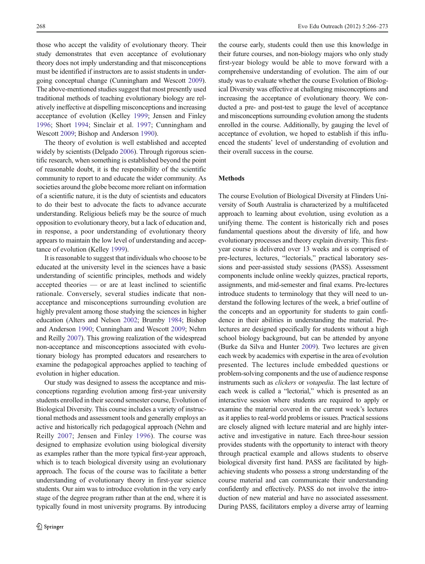those who accept the validity of evolutionary theory. Their study demonstrates that even acceptance of evolutionary theory does not imply understanding and that misconceptions must be identified if instructors are to assist students in undergoing conceptual change (Cunningham and Wescott [2009\)](#page-6-0). The above-mentioned studies suggest that most presently used traditional methods of teaching evolutionary biology are relatively ineffective at dispelling misconceptions and increasing acceptance of evolution (Kelley [1999](#page-6-0); Jensen and Finley [1996](#page-6-0); Short [1994](#page-7-0); Sinclair et al. [1997;](#page-7-0) Cunningham and Wescott [2009](#page-6-0); Bishop and Anderson [1990\)](#page-6-0).

The theory of evolution is well established and accepted widely by scientists (Delgado [2006\)](#page-6-0). Through rigorous scientific research, when something is established beyond the point of reasonable doubt, it is the responsibility of the scientific community to report to and educate the wider community. As societies around the globe become more reliant on information of a scientific nature, it is the duty of scientists and educators to do their best to advocate the facts to advance accurate understanding. Religious beliefs may be the source of much opposition to evolutionary theory, but a lack of education and, in response, a poor understanding of evolutionary theory appears to maintain the low level of understanding and acceptance of evolution (Kelley [1999](#page-6-0)).

It is reasonable to suggest that individuals who choose to be educated at the university level in the sciences have a basic understanding of scientific principles, methods and widely accepted theories — or are at least inclined to scientific rationale. Conversely, several studies indicate that nonacceptance and misconceptions surrounding evolution are highly prevalent among those studying the sciences in higher education (Alters and Nelson [2002;](#page-6-0) Brumby [1984;](#page-6-0) Bishop and Anderson [1990;](#page-6-0) Cunningham and Wescott [2009](#page-6-0); Nehm and Reilly [2007\)](#page-7-0). This growing realization of the widespread non-acceptance and misconceptions associated with evolutionary biology has prompted educators and researchers to examine the pedagogical approaches applied to teaching of evolution in higher education.

Our study was designed to assess the acceptance and misconceptions regarding evolution among first-year university students enrolled in their second semester course, Evolution of Biological Diversity. This course includes a variety of instructional methods and assessment tools and generally employs an active and historically rich pedagogical approach (Nehm and Reilly [2007](#page-7-0); Jensen and Finley [1996](#page-6-0)). The course was designed to emphasize evolution using biological diversity as examples rather than the more typical first-year approach, which is to teach biological diversity using an evolutionary approach. The focus of the course was to facilitate a better understanding of evolutionary theory in first-year science students. Our aim was to introduce evolution in the very early stage of the degree program rather than at the end, where it is typically found in most university programs. By introducing

the course early, students could then use this knowledge in their future courses, and non-biology majors who only study first-year biology would be able to move forward with a comprehensive understanding of evolution. The aim of our study was to evaluate whether the course Evolution of Biological Diversity was effective at challenging misconceptions and increasing the acceptance of evolutionary theory. We conducted a pre- and post-test to gauge the level of acceptance and misconceptions surrounding evolution among the students enrolled in the course. Additionally, by gauging the level of acceptance of evolution, we hoped to establish if this influenced the students' level of understanding of evolution and their overall success in the course.

## Methods

The course Evolution of Biological Diversity at Flinders University of South Australia is characterized by a multifaceted approach to learning about evolution, using evolution as a unifying theme. The content is historically rich and poses fundamental questions about the diversity of life, and how evolutionary processes and theory explain diversity. This firstyear course is delivered over 13 weeks and is comprised of pre-lectures, lectures, "lectorials," practical laboratory sessions and peer-assisted study sessions (PASS). Assessment components include online weekly quizzes, practical reports, assignments, and mid-semester and final exams. Pre-lectures introduce students to terminology that they will need to understand the following lectures of the week, a brief outline of the concepts and an opportunity for students to gain confidence in their abilities in understanding the material. Prelectures are designed specifically for students without a high school biology background, but can be attended by anyone (Burke da Silva and Hunter [2009](#page-6-0)). Two lectures are given each week by academics with expertise in the area of evolution presented. The lectures include embedded questions or problem-solving components and the use of audience response instruments such as clickers or votapedia. The last lecture of each week is called a "lectorial," which is presented as an interactive session where students are required to apply or examine the material covered in the current week's lectures as it applies to real-world problems or issues. Practical sessions are closely aligned with lecture material and are highly interactive and investigative in nature. Each three-hour session provides students with the opportunity to interact with theory through practical example and allows students to observe biological diversity first hand. PASS are facilitated by highachieving students who possess a strong understanding of the course material and can communicate their understanding confidently and effectively. PASS do not involve the introduction of new material and have no associated assessment. During PASS, facilitators employ a diverse array of learning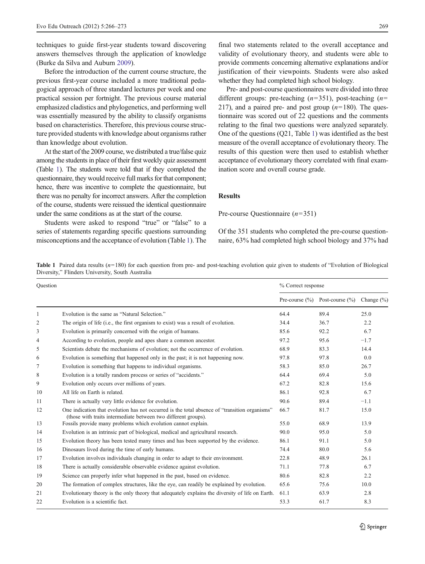<span id="page-3-0"></span>techniques to guide first-year students toward discovering answers themselves through the application of knowledge (Burke da Silva and Auburn [2009\)](#page-6-0).

Before the introduction of the current course structure, the previous first-year course included a more traditional pedagogical approach of three standard lectures per week and one practical session per fortnight. The previous course material emphasized cladistics and phylogenetics, and performing well was essentially measured by the ability to classify organisms based on characteristics. Therefore, this previous course structure provided students with knowledge about organisms rather than knowledge about evolution.

At the start of the 2009 course, we distributed a true/false quiz among the students in place of their first weekly quiz assessment (Table 1). The students were told that if they completed the questionnaire, they would receive full marks for that component; hence, there was incentive to complete the questionnaire, but there was no penalty for incorrect answers. After the completion of the course, students were reissued the identical questionnaire under the same conditions as at the start of the course.

Students were asked to respond "true" or "false" to a series of statements regarding specific questions surrounding misconceptions and the acceptance of evolution (Table 1). The

final two statements related to the overall acceptance and validity of evolutionary theory, and students were able to provide comments concerning alternative explanations and/or justification of their viewpoints. Students were also asked whether they had completed high school biology.

Pre- and post-course questionnaires were divided into three different groups: pre-teaching  $(n=351)$ , post-teaching  $(n=$ 217), and a paired pre- and post group  $(n=180)$ . The questionnaire was scored out of 22 questions and the comments relating to the final two questions were analyzed separately. One of the questions (Q21, Table 1) was identified as the best measure of the overall acceptance of evolutionary theory. The results of this question were then used to establish whether acceptance of evolutionary theory correlated with final examination score and overall course grade.

## Results

Pre-course Questionnaire  $(n=351)$ 

Of the 351 students who completed the pre-course questionnaire, 63% had completed high school biology and 37% had

Table 1 Paired data results  $(n=180)$  for each question from pre- and post-teaching evolution quiz given to students of "Evolution of Biological Diversity," Flinders University, South Australia

| Ouestion       |                                                                                                                                                                 | % Correct response |                     |                |
|----------------|-----------------------------------------------------------------------------------------------------------------------------------------------------------------|--------------------|---------------------|----------------|
|                |                                                                                                                                                                 | Pre-course $(\% )$ | Post-course $(\% )$ | Change $(\% )$ |
| 1              | Evolution is the same as "Natural Selection."                                                                                                                   | 64.4               | 89.4                | 25.0           |
| 2              | The origin of life (i.e., the first organism to exist) was a result of evolution.                                                                               | 34.4               | 36.7                | 2.2            |
| 3              | Evolution is primarily concerned with the origin of humans.                                                                                                     | 85.6               | 92.2                | 6.7            |
| $\overline{4}$ | According to evolution, people and apes share a common ancestor.                                                                                                | 97.2               | 95.6                | $-1.7$         |
| 5              | Scientists debate the mechanisms of evolution; not the occurrence of evolution.                                                                                 | 68.9               | 83.3                | 14.4           |
| 6              | Evolution is something that happened only in the past; it is not happening now.                                                                                 | 97.8               | 97.8                | 0.0            |
| 7              | Evolution is something that happens to individual organisms.                                                                                                    | 58.3               | 85.0                | 26.7           |
| 8              | Evolution is a totally random process or series of "accidents."                                                                                                 | 64.4               | 69.4                | 5.0            |
| 9              | Evolution only occurs over millions of years.                                                                                                                   | 67.2               | 82.8                | 15.6           |
| 10             | All life on Earth is related.                                                                                                                                   | 86.1               | 92.8                | 6.7            |
| 11             | There is actually very little evidence for evolution.                                                                                                           | 90.6               | 89.4                | $-1.1$         |
| 12             | One indication that evolution has not occurred is the total absence of "transition organisms"<br>(those with traits intermediate between two different groups). | 66.7               | 81.7                | 15.0           |
| 13             | Fossils provide many problems which evolution cannot explain.                                                                                                   | 55.0               | 68.9                | 13.9           |
| 14             | Evolution is an intrinsic part of biological, medical and agricultural research.                                                                                | 90.0               | 95.0                | 5.0            |
| 15             | Evolution theory has been tested many times and has been supported by the evidence.                                                                             | 86.1               | 91.1                | 5.0            |
| 16             | Dinosaurs lived during the time of early humans.                                                                                                                | 74.4               | 80.0                | 5.6            |
| 17             | Evolution involves individuals changing in order to adapt to their environment.                                                                                 | 22.8               | 48.9                | 26.1           |
| 18             | There is actually considerable observable evidence against evolution.                                                                                           | 71.1               | 77.8                | 6.7            |
| 19             | Science can properly infer what happened in the past, based on evidence.                                                                                        | 80.6               | 82.8                | 2.2            |
| 20             | The formation of complex structures, like the eye, can readily be explained by evolution.                                                                       | 65.6               | 75.6                | 10.0           |
| 21             | Evolutionary theory is the only theory that adequately explains the diversity of life on Earth.                                                                 | 61.1               | 63.9                | 2.8            |
| 22             | Evolution is a scientific fact.                                                                                                                                 | 53.3               | 61.7                | 8.3            |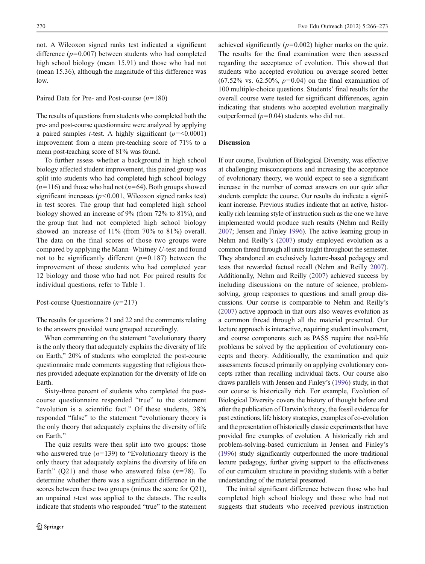not. A Wilcoxon signed ranks test indicated a significant difference  $(p=0.007)$  between students who had completed high school biology (mean 15.91) and those who had not (mean 15.36), although the magnitude of this difference was low.

Paired Data for Pre- and Post-course  $(n=180)$ 

The results of questions from students who completed both the pre- and post-course questionnaire were analyzed by applying a paired samples *t*-test. A highly significant ( $p = < 0.0001$ ) improvement from a mean pre-teaching score of 71% to a mean post-teaching score of 81% was found.

To further assess whether a background in high school biology affected student improvement, this paired group was split into students who had completed high school biology  $(n=116)$  and those who had not  $(n=64)$ . Both groups showed significant increases  $(p<0.001$ , Wilcoxon signed ranks test) in test scores. The group that had completed high school biology showed an increase of 9% (from 72% to 81%), and the group that had not completed high school biology showed an increase of 11% (from 70% to 81%) overall. The data on the final scores of those two groups were compared by applying the Mann–Whitney U-test and found not to be significantly different ( $p=0.187$ ) between the improvement of those students who had completed year 12 biology and those who had not. For paired results for individual questions, refer to Table [1.](#page-3-0)

Post-course Questionnaire  $(n=217)$ 

The results for questions 21 and 22 and the comments relating to the answers provided were grouped accordingly.

When commenting on the statement "evolutionary theory is the only theory that adequately explains the diversity of life on Earth," 20% of students who completed the post-course questionnaire made comments suggesting that religious theories provided adequate explanation for the diversity of life on Earth.

Sixty-three percent of students who completed the postcourse questionnaire responded "true" to the statement "evolution is a scientific fact." Of these students, 38% responded "false" to the statement "evolutionary theory is the only theory that adequately explains the diversity of life on Earth."

The quiz results were then split into two groups: those who answered true  $(n=139)$  to "Evolutionary theory is the only theory that adequately explains the diversity of life on Earth" (Q21) and those who answered false  $(n=78)$ . To determine whether there was a significant difference in the scores between these two groups (minus the score for Q21), an unpaired t-test was applied to the datasets. The results indicate that students who responded "true" to the statement achieved significantly  $(p=0.002)$  higher marks on the quiz. The results for the final examination were then assessed regarding the acceptance of evolution. This showed that students who accepted evolution on average scored better  $(67.52\% \text{ vs. } 62.50\%, p=0.04)$  on the final examination of 100 multiple-choice questions. Students' final results for the overall course were tested for significant differences, again indicating that students who accepted evolution marginally outperformed  $(p=0.04)$  students who did not.

#### Discussion

If our course, Evolution of Biological Diversity, was effective at challenging misconceptions and increasing the acceptance of evolutionary theory, we would expect to see a significant increase in the number of correct answers on our quiz after students complete the course. Our results do indicate a significant increase. Previous studies indicate that an active, historically rich learning style of instruction such as the one we have implemented would produce such results (Nehm and Reilly [2007;](#page-7-0) Jensen and Finley [1996](#page-6-0)). The active learning group in Nehm and Reilly's ([2007](#page-7-0)) study employed evolution as a common thread through all units taught throughout the semester. They abandoned an exclusively lecture-based pedagogy and tests that rewarded factual recall (Nehm and Reilly [2007\)](#page-7-0). Additionally, Nehm and Reilly ([2007](#page-7-0)) achieved success by including discussions on the nature of science, problemsolving, group responses to questions and small group discussions. Our course is comparable to Nehm and Reilly's [\(2007\)](#page-7-0) active approach in that ours also weaves evolution as a common thread through all the material presented. Our lecture approach is interactive, requiring student involvement, and course components such as PASS require that real-life problems be solved by the application of evolutionary concepts and theory. Additionally, the examination and quiz assessments focused primarily on applying evolutionary concepts rather than recalling individual facts. Our course also draws parallels with Jensen and Finley's ([1996](#page-6-0)) study, in that our course is historically rich. For example, Evolution of Biological Diversity covers the history of thought before and after the publication of Darwin's theory, the fossil evidence for past extinctions, life history strategies, examples of co-evolution and the presentation of historically classic experiments that have provided fine examples of evolution. A historically rich and problem-solving-based curriculum in Jensen and Finley's [\(1996](#page-6-0)) study significantly outperformed the more traditional lecture pedagogy, further giving support to the effectiveness of our curriculum structure in providing students with a better understanding of the material presented.

The initial significant difference between those who had completed high school biology and those who had not suggests that students who received previous instruction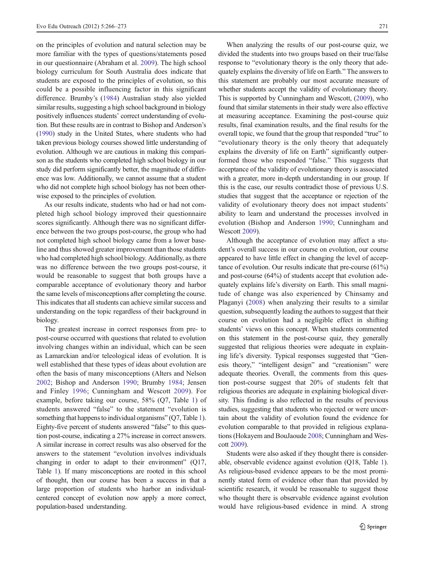on the principles of evolution and natural selection may be more familiar with the types of questions/statements posed in our questionnaire (Abraham et al. [2009\)](#page-6-0). The high school biology curriculum for South Australia does indicate that students are exposed to the principles of evolution, so this could be a possible influencing factor in this significant difference. Brumby's [\(1984\)](#page-6-0) Australian study also yielded similar results, suggesting a high school background in biology positively influences students' correct understanding of evolution. But these results are in contrast to Bishop and Anderson's [\(1990](#page-6-0)) study in the United States, where students who had taken previous biology courses showed little understanding of evolution. Although we are cautious in making this comparison as the students who completed high school biology in our study did perform significantly better, the magnitude of difference was low. Additionally, we cannot assume that a student who did not complete high school biology has not been otherwise exposed to the principles of evolution.

As our results indicate, students who had or had not completed high school biology improved their questionnaire scores significantly. Although there was no significant difference between the two groups post-course, the group who had not completed high school biology came from a lower baseline and thus showed greater improvement than those students who had completed high school biology. Additionally, as there was no difference between the two groups post-course, it would be reasonable to suggest that both groups have a comparable acceptance of evolutionary theory and harbor the same levels of misconceptions after completing the course. This indicates that all students can achieve similar success and understanding on the topic regardless of their background in biology.

The greatest increase in correct responses from pre- to post-course occurred with questions that related to evolution involving changes within an individual, which can be seen as Lamarckian and/or teleological ideas of evolution. It is well established that these types of ideas about evolution are often the basis of many misconceptions (Alters and Nelson [2002;](#page-6-0) Bishop and Anderson [1990;](#page-6-0) Brumby [1984;](#page-6-0) Jensen and Finley [1996;](#page-6-0) Cunningham and Wescott [2009](#page-6-0)). For example, before taking our course, 58% (Q7, Table [1\)](#page-3-0) of students answered "false" to the statement "evolution is something that happens to individual organisms" (Q7, Table [1\)](#page-3-0). Eighty-five percent of students answered "false" to this question post-course, indicating a 27% increase in correct answers. A similar increase in correct results was also observed for the answers to the statement "evolution involves individuals changing in order to adapt to their environment" (O17, Table [1](#page-3-0)). If many misconceptions are rooted in this school of thought, then our course has been a success in that a large proportion of students who harbor an individualcentered concept of evolution now apply a more correct, population-based understanding.

When analyzing the results of our post-course quiz, we divided the students into two groups based on their true/false response to "evolutionary theory is the only theory that adequately explains the diversity of life on Earth." The answers to this statement are probably our most accurate measure of whether students accept the validity of evolutionary theory. This is supported by Cunningham and Wescott, [\(2009\)](#page-6-0), who found that similar statements in their study were also effective at measuring acceptance. Examining the post-course quiz results, final examination results, and the final results for the overall topic, we found that the group that responded "true" to "evolutionary theory is the only theory that adequately explains the diversity of life on Earth" significantly outperformed those who responded "false." This suggests that acceptance of the validity of evolutionary theory is associated with a greater, more in-depth understanding in our group. If this is the case, our results contradict those of previous U.S. studies that suggest that the acceptance or rejection of the validity of evolutionary theory does not impact students' ability to learn and understand the processes involved in evolution (Bishop and Anderson [1990;](#page-6-0) Cunningham and Wescott [2009](#page-6-0)).

Although the acceptance of evolution may affect a student's overall success in our course on evolution, our course appeared to have little effect in changing the level of acceptance of evolution. Our results indicate that pre-course (61%) and post-course (64%) of students accept that evolution adequately explains life's diversity on Earth. This small magnitude of change was also experienced by Chinsamy and Plaganyi [\(2008](#page-6-0)) when analyzing their results to a similar question, subsequently leading the authors to suggest that their course on evolution had a negligible effect in shifting students' views on this concept. When students commented on this statement in the post-course quiz, they generally suggested that religious theories were adequate in explaining life's diversity. Typical responses suggested that "Genesis theory," "intelligent design" and "creationism" were adequate theories. Overall, the comments from this question post-course suggest that 20% of students felt that religious theories are adequate in explaining biological diversity. This finding is also reflected in the results of previous studies, suggesting that students who rejected or were uncertain about the validity of evolution found the evidence for evolution comparable to that provided in religious explanations (Hokayem and BouJaoude [2008](#page-6-0); Cunningham and Wescott [2009\)](#page-6-0).

Students were also asked if they thought there is considerable, observable evidence against evolution (Q18, Table [1\)](#page-3-0). As religious-based evidence appears to be the most prominently stated form of evidence other than that provided by scientific research, it would be reasonable to suggest those who thought there is observable evidence against evolution would have religious-based evidence in mind. A strong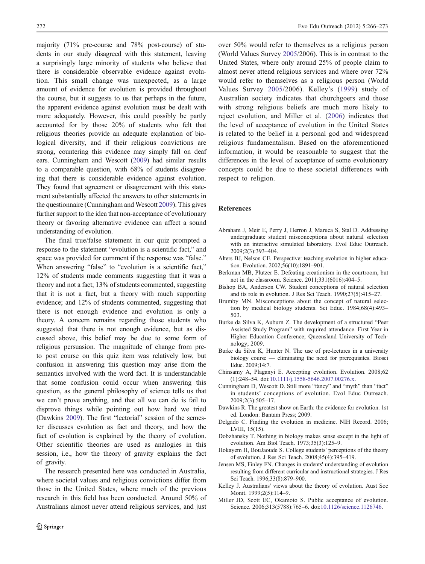<span id="page-6-0"></span>majority (71% pre-course and 78% post-course) of students in our study disagreed with this statement, leaving a surprisingly large minority of students who believe that there is considerable observable evidence against evolution. This small change was unexpected, as a large amount of evidence for evolution is provided throughout the course, but it suggests to us that perhaps in the future, the apparent evidence against evolution must be dealt with more adequately. However, this could possibly be partly accounted for by those 20% of students who felt that religious theories provide an adequate explanation of biological diversity, and if their religious convictions are strong, countering this evidence may simply fall on deaf ears. Cunningham and Wescott (2009) had similar results to a comparable question, with 68% of students disagreeing that there is considerable evidence against evolution. They found that agreement or disagreement with this statement substantially affected the answers to other statements in the questionnaire (Cunningham and Wescott 2009). This gives further support to the idea that non-acceptance of evolutionary theory or favoring alternative evidence can affect a sound understanding of evolution.

The final true/false statement in our quiz prompted a response to the statement "evolution is a scientific fact," and space was provided for comment if the response was "false." When answering "false" to "evolution is a scientific fact," 12% of students made comments suggesting that it was a theory and not a fact; 13% of students commented, suggesting that it is not a fact, but a theory with much supporting evidence; and 12% of students commented, suggesting that there is not enough evidence and evolution is only a theory. A concern remains regarding those students who suggested that there is not enough evidence, but as discussed above, this belief may be due to some form of religious persuasion. The magnitude of change from preto post course on this quiz item was relatively low, but confusion in answering this question may arise from the semantics involved with the word fact. It is understandable that some confusion could occur when answering this question, as the general philosophy of science tells us that we can't prove anything, and that all we can do is fail to disprove things while pointing out how hard we tried (Dawkins 2009). The first "lectorial" session of the semester discusses evolution as fact and theory, and how the fact of evolution is explained by the theory of evolution. Other scientific theories are used as analogies in this session, i.e., how the theory of gravity explains the fact of gravity.

The research presented here was conducted in Australia, where societal values and religious convictions differ from those in the United States, where much of the previous research in this field has been conducted. Around 50% of Australians almost never attend religious services, and just

over 50% would refer to themselves as a religious person (World Values Survey [2005/](#page-7-0)2006). This is in contrast to the United States, where only around 25% of people claim to almost never attend religious services and where over 72% would refer to themselves as a religious person (World Values Survey [2005](#page-7-0)/2006). Kelley's (1999) study of Australian society indicates that churchgoers and those with strong religious beliefs are much more likely to reject evolution, and Miller et al. (2006) indicates that the level of acceptance of evolution in the United States is related to the belief in a personal god and widespread religious fundamentalism. Based on the aforementioned information, it would be reasonable to suggest that the differences in the level of acceptance of some evolutionary concepts could be due to these societal differences with respect to religion.

#### References

- Abraham J, Meir E, Perry J, Herron J, Maruca S, Stal D. Addressing undergraduate student misconceptions about natural selection with an interactive simulated laboratory. Evol Educ Outreach. 2009;2(3):393–404.
- Alters BJ, Nelson CE. Perspective: teaching evolution in higher education. Evolution. 2002;56(10):1891–901.
- Berkman MB, Plutzer E. Defeating creationism in the courtroom, but not in the classroom. Science. 2011;331(6016):404–5.
- Bishop BA, Anderson CW. Student conceptions of natural selection and its role in evolution. J Res Sci Teach. 1990;27(5):415–27.
- Brumby MN. Misconceptions about the concept of natural selection by medical biology students. Sci Educ. 1984;68(4):493– 503.
- Burke da Silva K, Auburn Z. The development of a structured "Peer Assisted Study Program" with required attendance. First Year in Higher Education Conference; Queensland University of Technology; 2009.
- Burke da Silva K, Hunter N. The use of pre-lectures in a university biology course — eliminating the need for prerequisites. Biosci Educ. 2009;14:7.
- Chinsamy A, Plaganyi E. Accepting evolution. Evolution. 2008;62 (1):248–54. doi[:10.1111/j.1558-5646.2007.00276.x.](http://dx.doi.org/10.1111/j.1558-5646.2007.00276.x)
- Cunningham D, Wescott D. Still more "fancy" and "myth" than "fact" in students' conceptions of evolution. Evol Educ Outreach. 2009;2(3):505–17.
- Dawkins R. The greatest show on Earth: the evidence for evolution. 1st ed. London: Bantam Press; 2009.
- Delgado C. Finding the evolution in medicine. NIH Record. 2006; LVIII, 15(15).
- Dobzhansky T. Nothing in biology makes sense except in the light of evolution. Am Biol Teach. 1973;35(3):125–9.
- Hokayem H, BouJaoude S. College students' perceptions of the theory of evolution. J Res Sci Teach. 2008;45(4):395–419.
- Jensen MS, Finley FN. Changes in students' understanding of evolution resulting from different curricular and instructional strategies. J Res Sci Teach. 1996;33(8):879–900.
- Kelley J. Australians' views about the theory of evolution. Aust Soc Monit. 1999;2(5):114–9.
- Miller JD, Scott EC, Okamoto S. Public acceptance of evolution. Science. 2006;313(5788):765–6. doi[:10.1126/science.1126746.](http://dx.doi.org/10.1126/science.1126746)